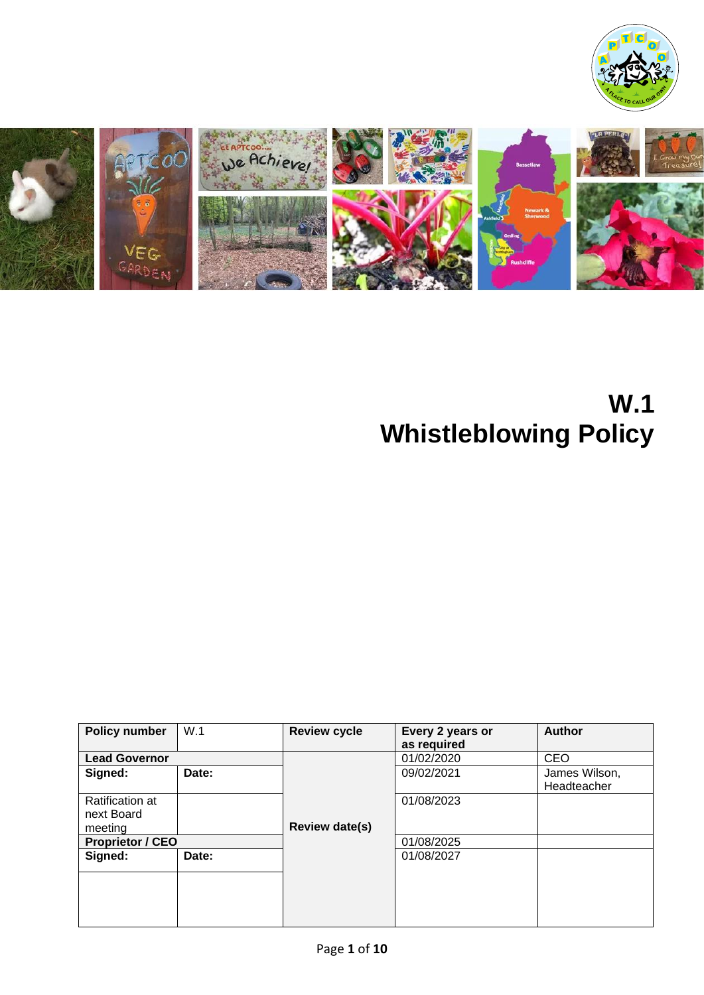



# **W.1 Whistleblowing Policy**

| <b>Policy number</b>          | W.1   | <b>Review cycle</b>   | Every 2 years or | Author                       |
|-------------------------------|-------|-----------------------|------------------|------------------------------|
|                               |       |                       | as required      |                              |
| <b>Lead Governor</b>          |       |                       | 01/02/2020       | <b>CEO</b>                   |
| Signed:                       | Date: |                       | 09/02/2021       | James Wilson,<br>Headteacher |
| Ratification at<br>next Board |       |                       | 01/08/2023       |                              |
| meeting                       |       | <b>Review date(s)</b> |                  |                              |
| <b>Proprietor / CEO</b>       |       |                       | 01/08/2025       |                              |
| Signed:                       | Date: |                       | 01/08/2027       |                              |
|                               |       |                       |                  |                              |
|                               |       |                       |                  |                              |
|                               |       |                       |                  |                              |
|                               |       |                       |                  |                              |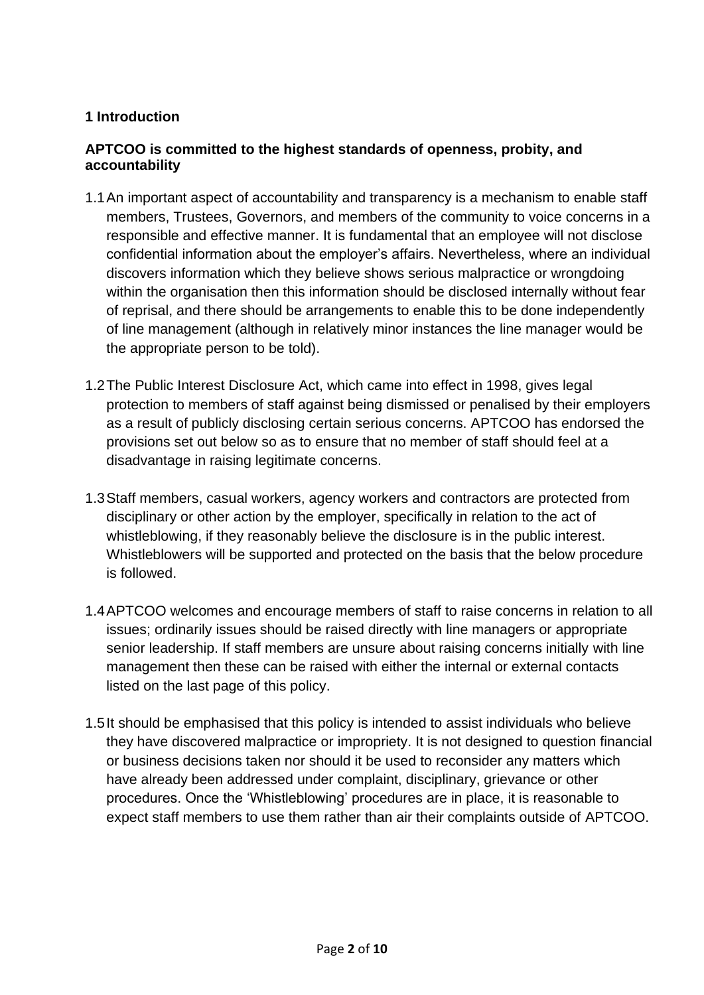#### **1 Introduction**

#### **APTCOO is committed to the highest standards of openness, probity, and accountability**

- 1.1An important aspect of accountability and transparency is a mechanism to enable staff members, Trustees, Governors, and members of the community to voice concerns in a responsible and effective manner. It is fundamental that an employee will not disclose confidential information about the employer's affairs. Nevertheless, where an individual discovers information which they believe shows serious malpractice or wrongdoing within the organisation then this information should be disclosed internally without fear of reprisal, and there should be arrangements to enable this to be done independently of line management (although in relatively minor instances the line manager would be the appropriate person to be told).
- 1.2The Public Interest Disclosure Act, which came into effect in 1998, gives legal protection to members of staff against being dismissed or penalised by their employers as a result of publicly disclosing certain serious concerns. APTCOO has endorsed the provisions set out below so as to ensure that no member of staff should feel at a disadvantage in raising legitimate concerns.
- 1.3Staff members, casual workers, agency workers and contractors are protected from disciplinary or other action by the employer, specifically in relation to the act of whistleblowing, if they reasonably believe the disclosure is in the public interest. Whistleblowers will be supported and protected on the basis that the below procedure is followed.
- 1.4APTCOO welcomes and encourage members of staff to raise concerns in relation to all issues; ordinarily issues should be raised directly with line managers or appropriate senior leadership. If staff members are unsure about raising concerns initially with line management then these can be raised with either the internal or external contacts listed on the last page of this policy.
- 1.5It should be emphasised that this policy is intended to assist individuals who believe they have discovered malpractice or impropriety. It is not designed to question financial or business decisions taken nor should it be used to reconsider any matters which have already been addressed under complaint, disciplinary, grievance or other procedures. Once the 'Whistleblowing' procedures are in place, it is reasonable to expect staff members to use them rather than air their complaints outside of APTCOO.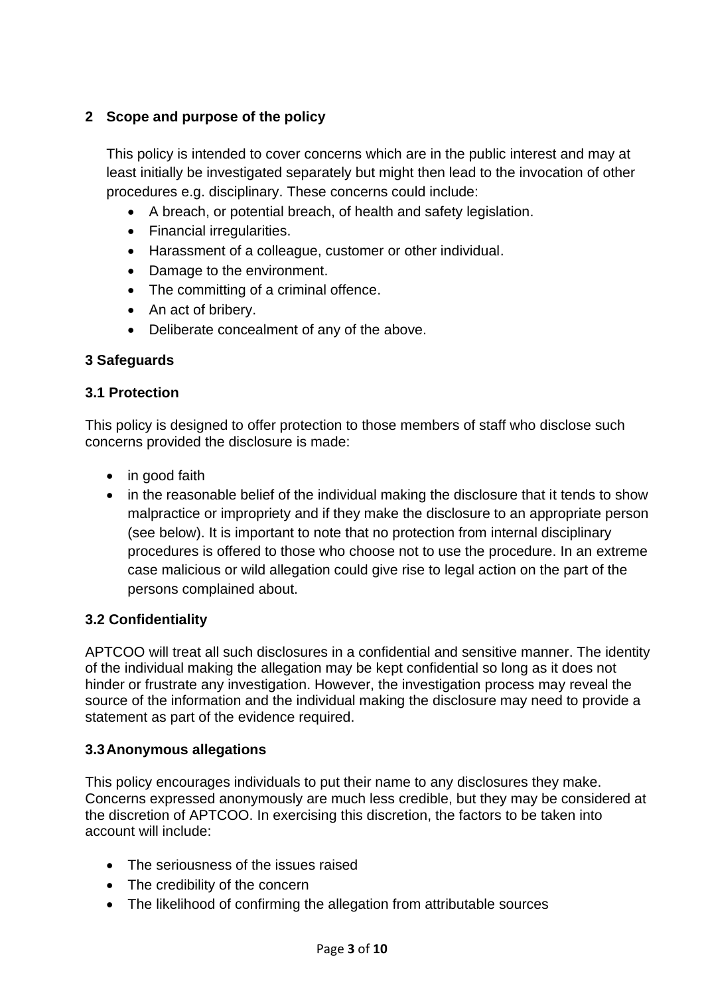### **2 Scope and purpose of the policy**

This policy is intended to cover concerns which are in the public interest and may at least initially be investigated separately but might then lead to the invocation of other procedures e.g. disciplinary. These concerns could include:

- A breach, or potential breach, of health and safety legislation.
- Financial irregularities.
- Harassment of a colleague, customer or other individual.
- Damage to the environment.
- The committing of a criminal offence.
- An act of bribery.
- Deliberate concealment of any of the above.

#### **3 Safeguards**

#### **3.1 Protection**

This policy is designed to offer protection to those members of staff who disclose such concerns provided the disclosure is made:

- in good faith
- in the reasonable belief of the individual making the disclosure that it tends to show malpractice or impropriety and if they make the disclosure to an appropriate person (see below). It is important to note that no protection from internal disciplinary procedures is offered to those who choose not to use the procedure. In an extreme case malicious or wild allegation could give rise to legal action on the part of the persons complained about.

#### **3.2 Confidentiality**

APTCOO will treat all such disclosures in a confidential and sensitive manner. The identity of the individual making the allegation may be kept confidential so long as it does not hinder or frustrate any investigation. However, the investigation process may reveal the source of the information and the individual making the disclosure may need to provide a statement as part of the evidence required.

#### **3.3Anonymous allegations**

This policy encourages individuals to put their name to any disclosures they make. Concerns expressed anonymously are much less credible, but they may be considered at the discretion of APTCOO. In exercising this discretion, the factors to be taken into account will include:

- The seriousness of the issues raised
- The credibility of the concern
- The likelihood of confirming the allegation from attributable sources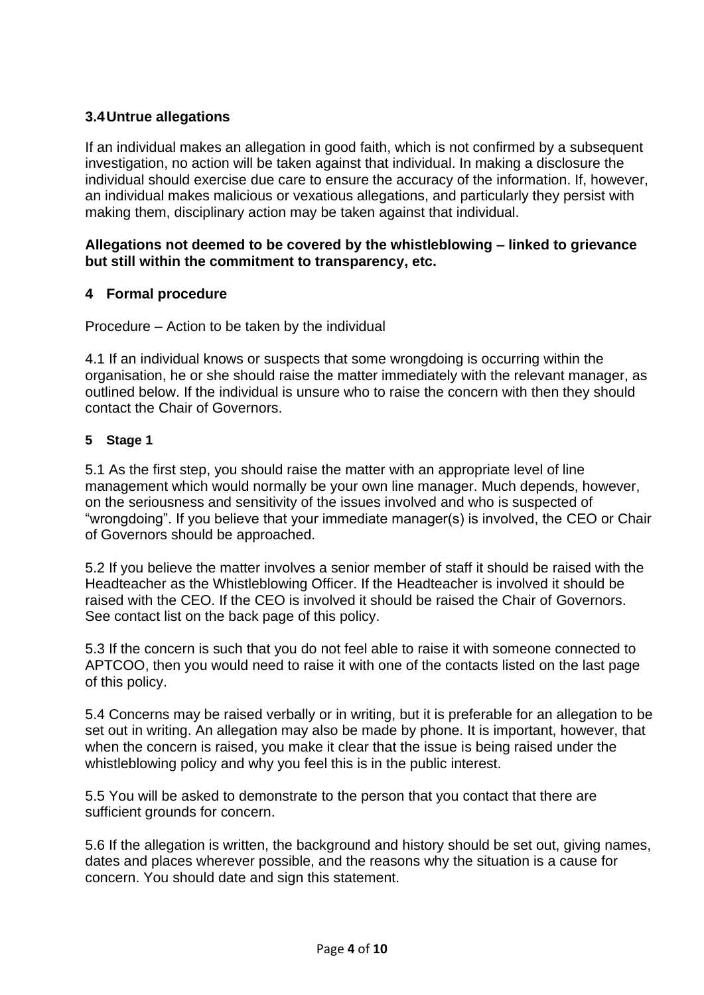#### **3.4Untrue allegations**

If an individual makes an allegation in good faith, which is not confirmed by a subsequent investigation, no action will be taken against that individual. In making a disclosure the individual should exercise due care to ensure the accuracy of the information. If, however, an individual makes malicious or vexatious allegations, and particularly they persist with making them, disciplinary action may be taken against that individual.

#### **Allegations not deemed to be covered by the whistleblowing – linked to grievance but still within the commitment to transparency, etc.**

#### **4 Formal procedure**

Procedure – Action to be taken by the individual

4.1 If an individual knows or suspects that some wrongdoing is occurring within the organisation, he or she should raise the matter immediately with the relevant manager, as outlined below. If the individual is unsure who to raise the concern with then they should contact the Chair of Governors.

#### **5 Stage 1**

5.1 As the first step, you should raise the matter with an appropriate level of line management which would normally be your own line manager. Much depends, however, on the seriousness and sensitivity of the issues involved and who is suspected of "wrongdoing". If you believe that your immediate manager(s) is involved, the CEO or Chair of Governors should be approached.

5.2 If you believe the matter involves a senior member of staff it should be raised with the Headteacher as the Whistleblowing Officer. If the Headteacher is involved it should be raised with the CEO. If the CEO is involved it should be raised the Chair of Governors. See contact list on the back page of this policy.

5.3 If the concern is such that you do not feel able to raise it with someone connected to APTCOO, then you would need to raise it with one of the contacts listed on the last page of this policy.

5.4 Concerns may be raised verbally or in writing, but it is preferable for an allegation to be set out in writing. An allegation may also be made by phone. It is important, however, that when the concern is raised, you make it clear that the issue is being raised under the whistleblowing policy and why you feel this is in the public interest.

5.5 You will be asked to demonstrate to the person that you contact that there are sufficient grounds for concern.

5.6 If the allegation is written, the background and history should be set out, giving names, dates and places wherever possible, and the reasons why the situation is a cause for concern. You should date and sign this statement.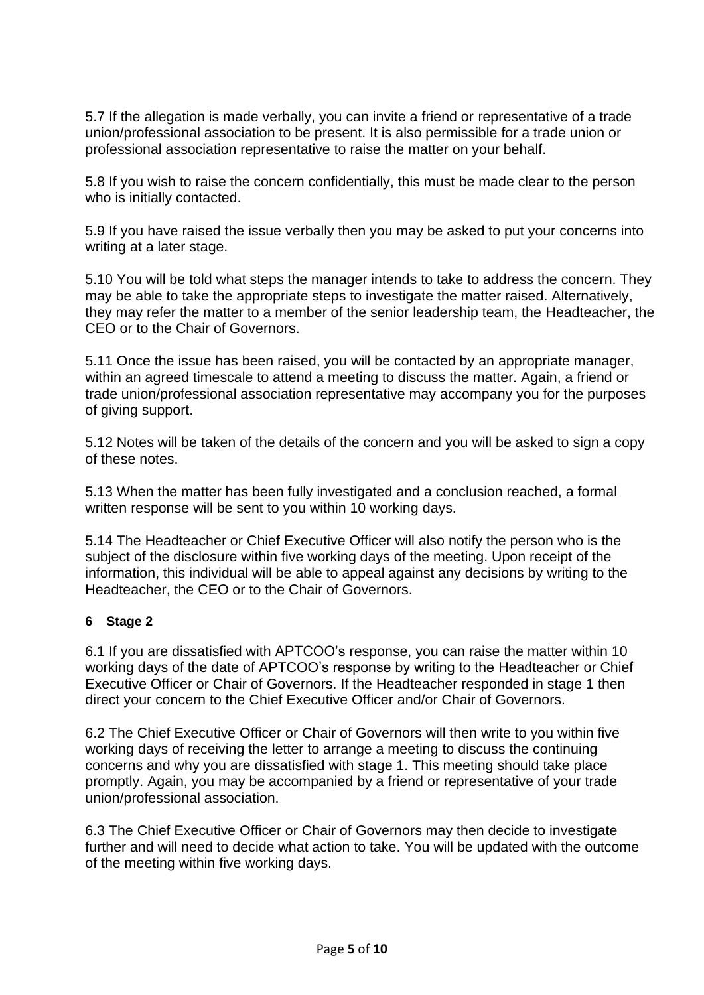5.7 If the allegation is made verbally, you can invite a friend or representative of a trade union/professional association to be present. It is also permissible for a trade union or professional association representative to raise the matter on your behalf.

5.8 If you wish to raise the concern confidentially, this must be made clear to the person who is initially contacted.

5.9 If you have raised the issue verbally then you may be asked to put your concerns into writing at a later stage.

5.10 You will be told what steps the manager intends to take to address the concern. They may be able to take the appropriate steps to investigate the matter raised. Alternatively, they may refer the matter to a member of the senior leadership team, the Headteacher, the CEO or to the Chair of Governors.

5.11 Once the issue has been raised, you will be contacted by an appropriate manager, within an agreed timescale to attend a meeting to discuss the matter. Again, a friend or trade union/professional association representative may accompany you for the purposes of giving support.

5.12 Notes will be taken of the details of the concern and you will be asked to sign a copy of these notes.

5.13 When the matter has been fully investigated and a conclusion reached, a formal written response will be sent to you within 10 working days.

5.14 The Headteacher or Chief Executive Officer will also notify the person who is the subject of the disclosure within five working days of the meeting. Upon receipt of the information, this individual will be able to appeal against any decisions by writing to the Headteacher, the CEO or to the Chair of Governors.

#### **6 Stage 2**

6.1 If you are dissatisfied with APTCOO's response, you can raise the matter within 10 working days of the date of APTCOO's response by writing to the Headteacher or Chief Executive Officer or Chair of Governors. If the Headteacher responded in stage 1 then direct your concern to the Chief Executive Officer and/or Chair of Governors.

6.2 The Chief Executive Officer or Chair of Governors will then write to you within five working days of receiving the letter to arrange a meeting to discuss the continuing concerns and why you are dissatisfied with stage 1. This meeting should take place promptly. Again, you may be accompanied by a friend or representative of your trade union/professional association.

6.3 The Chief Executive Officer or Chair of Governors may then decide to investigate further and will need to decide what action to take. You will be updated with the outcome of the meeting within five working days.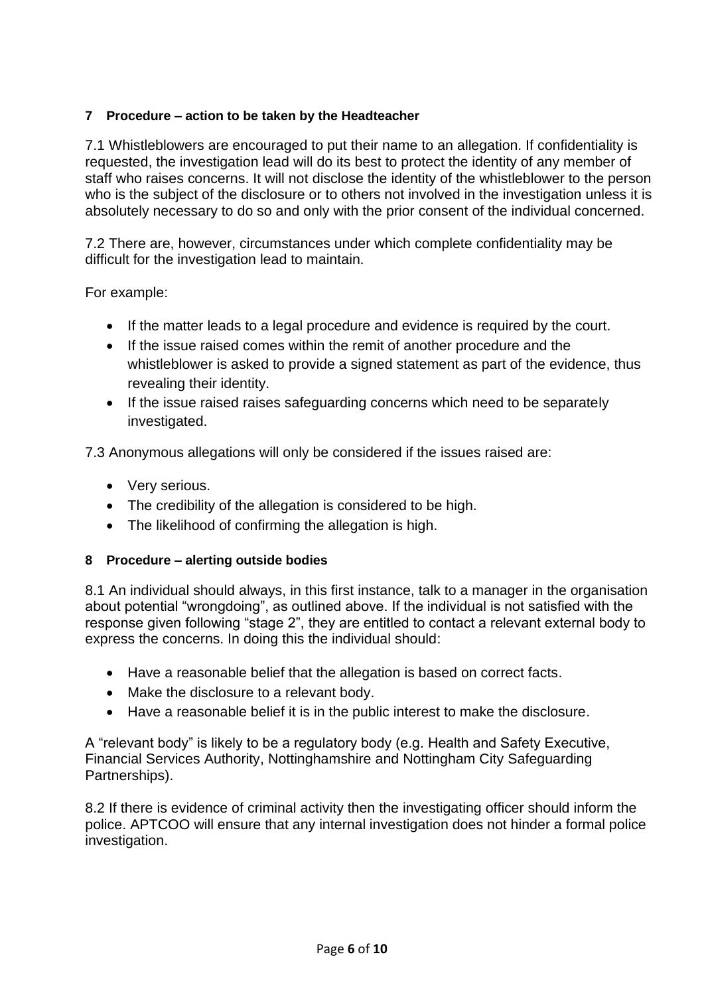#### **7 Procedure – action to be taken by the Headteacher**

7.1 Whistleblowers are encouraged to put their name to an allegation. If confidentiality is requested, the investigation lead will do its best to protect the identity of any member of staff who raises concerns. It will not disclose the identity of the whistleblower to the person who is the subject of the disclosure or to others not involved in the investigation unless it is absolutely necessary to do so and only with the prior consent of the individual concerned.

7.2 There are, however, circumstances under which complete confidentiality may be difficult for the investigation lead to maintain.

For example:

- If the matter leads to a legal procedure and evidence is required by the court.
- If the issue raised comes within the remit of another procedure and the whistleblower is asked to provide a signed statement as part of the evidence, thus revealing their identity.
- If the issue raised raises safeguarding concerns which need to be separately investigated.

7.3 Anonymous allegations will only be considered if the issues raised are:

- Very serious.
- The credibility of the allegation is considered to be high.
- The likelihood of confirming the allegation is high.

#### **8 Procedure – alerting outside bodies**

8.1 An individual should always, in this first instance, talk to a manager in the organisation about potential "wrongdoing", as outlined above. If the individual is not satisfied with the response given following "stage 2", they are entitled to contact a relevant external body to express the concerns. In doing this the individual should:

- Have a reasonable belief that the allegation is based on correct facts.
- Make the disclosure to a relevant body.
- Have a reasonable belief it is in the public interest to make the disclosure.

A "relevant body" is likely to be a regulatory body (e.g. Health and Safety Executive, Financial Services Authority, Nottinghamshire and Nottingham City Safeguarding Partnerships).

8.2 If there is evidence of criminal activity then the investigating officer should inform the police. APTCOO will ensure that any internal investigation does not hinder a formal police investigation.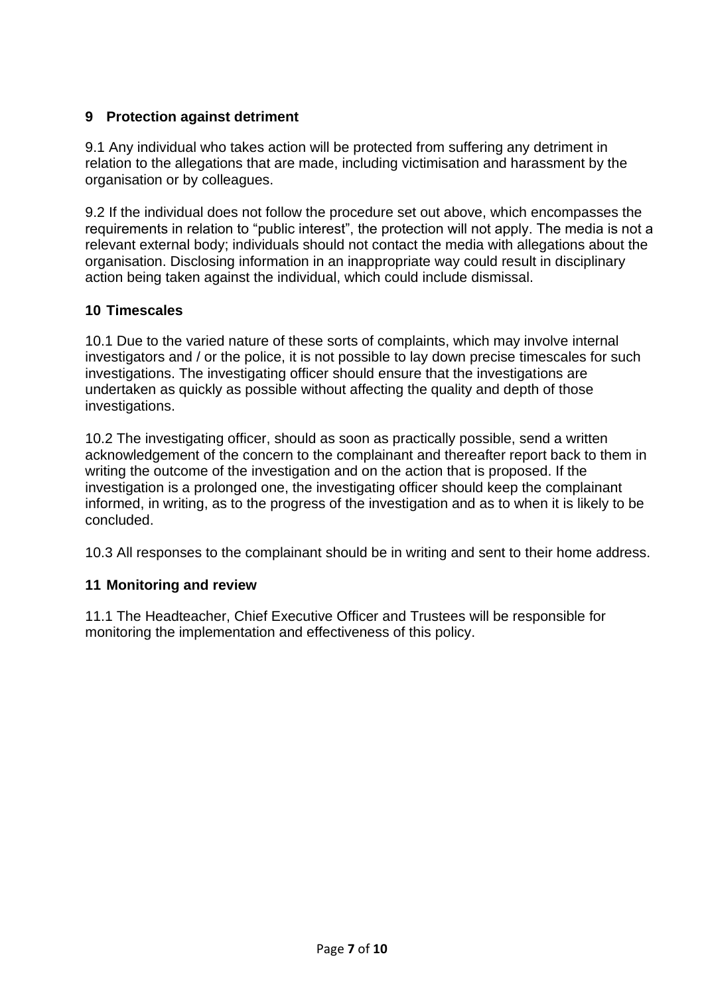#### **9 Protection against detriment**

9.1 Any individual who takes action will be protected from suffering any detriment in relation to the allegations that are made, including victimisation and harassment by the organisation or by colleagues.

9.2 If the individual does not follow the procedure set out above, which encompasses the requirements in relation to "public interest", the protection will not apply. The media is not a relevant external body; individuals should not contact the media with allegations about the organisation. Disclosing information in an inappropriate way could result in disciplinary action being taken against the individual, which could include dismissal.

#### **10 Timescales**

10.1 Due to the varied nature of these sorts of complaints, which may involve internal investigators and / or the police, it is not possible to lay down precise timescales for such investigations. The investigating officer should ensure that the investigations are undertaken as quickly as possible without affecting the quality and depth of those investigations.

10.2 The investigating officer, should as soon as practically possible, send a written acknowledgement of the concern to the complainant and thereafter report back to them in writing the outcome of the investigation and on the action that is proposed. If the investigation is a prolonged one, the investigating officer should keep the complainant informed, in writing, as to the progress of the investigation and as to when it is likely to be concluded.

10.3 All responses to the complainant should be in writing and sent to their home address.

#### **11 Monitoring and review**

11.1 The Headteacher, Chief Executive Officer and Trustees will be responsible for monitoring the implementation and effectiveness of this policy.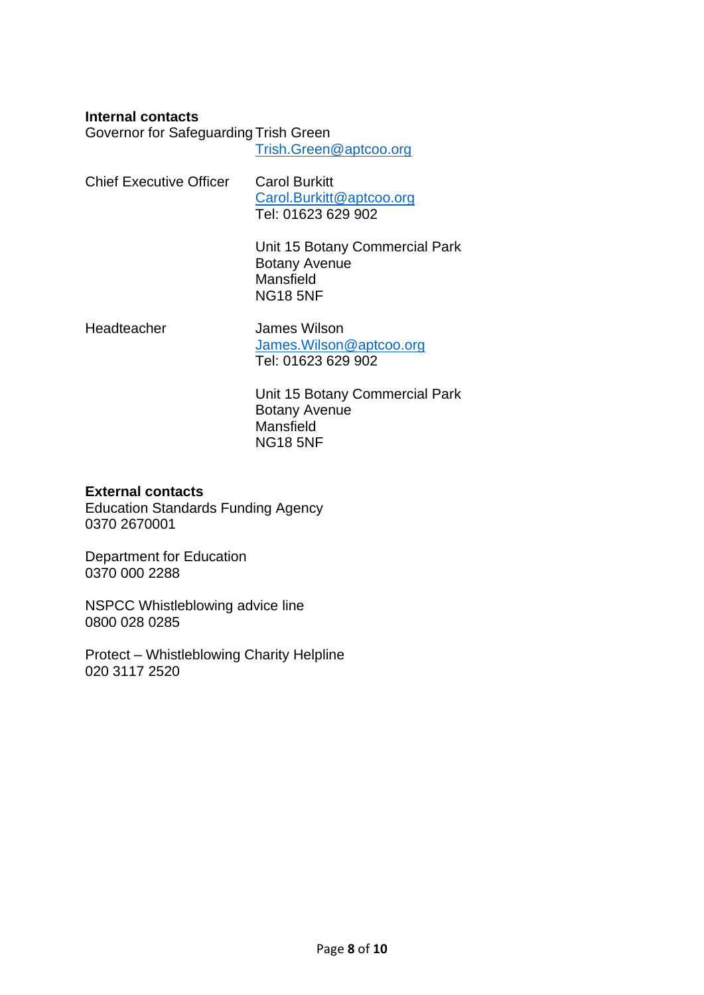**Internal contacts** 

Governor for Safeguarding Trish Green

[Trish.Green@aptcoo.org](mailto:Trish.Green@aptcoo.org)

| <b>Chief Executive Officer</b> | <b>Carol Burkitt</b>     |  |
|--------------------------------|--------------------------|--|
|                                | Carol.Burkitt@aptcoo.org |  |
|                                | Tel: 01623 629 902       |  |

Unit 15 Botany Commercial Park Botany Avenue Mansfield NG18 5NF

Headteacher James Wilson [James.Wilson@aptcoo.org](mailto:James.Wilson@aptcoo.org) Tel: 01623 629 902

> Unit 15 Botany Commercial Park Botany Avenue Mansfield NG18 5NF

#### **External contacts**

Education Standards Funding Agency 0370 2670001

Department for Education 0370 000 2288

NSPCC Whistleblowing advice line 0800 028 0285

Protect – Whistleblowing Charity Helpline 020 3117 2520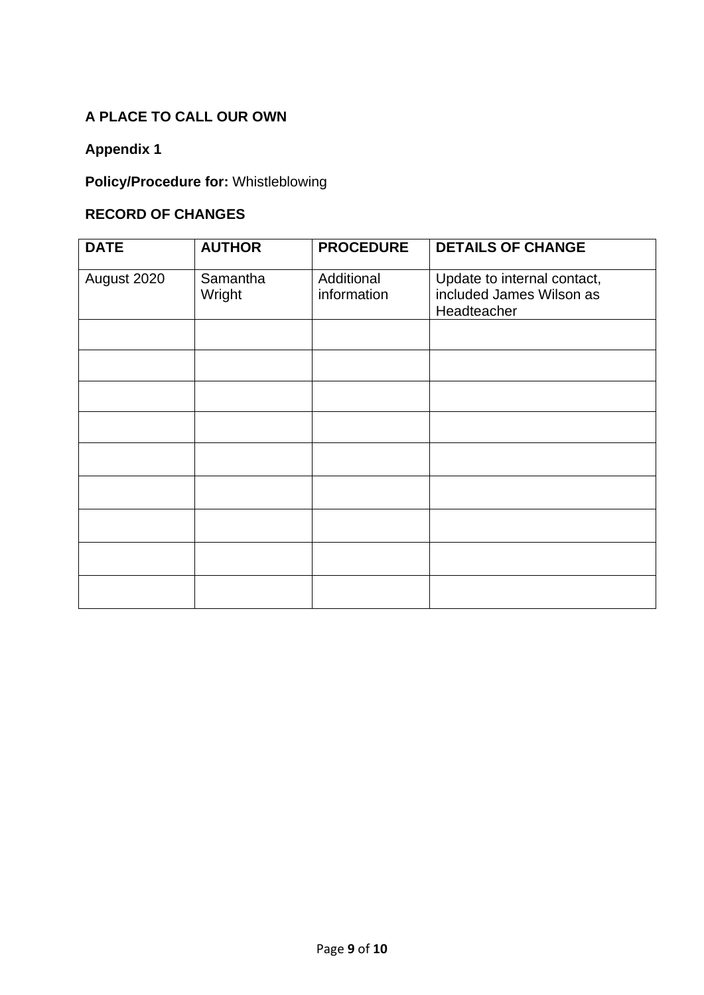# **A PLACE TO CALL OUR OWN**

# **Appendix 1**

# **Policy/Procedure for:** Whistleblowing

## **RECORD OF CHANGES**

| <b>DATE</b> | <b>AUTHOR</b>      | <b>PROCEDURE</b>          | <b>DETAILS OF CHANGE</b>                                               |
|-------------|--------------------|---------------------------|------------------------------------------------------------------------|
| August 2020 | Samantha<br>Wright | Additional<br>information | Update to internal contact,<br>included James Wilson as<br>Headteacher |
|             |                    |                           |                                                                        |
|             |                    |                           |                                                                        |
|             |                    |                           |                                                                        |
|             |                    |                           |                                                                        |
|             |                    |                           |                                                                        |
|             |                    |                           |                                                                        |
|             |                    |                           |                                                                        |
|             |                    |                           |                                                                        |
|             |                    |                           |                                                                        |